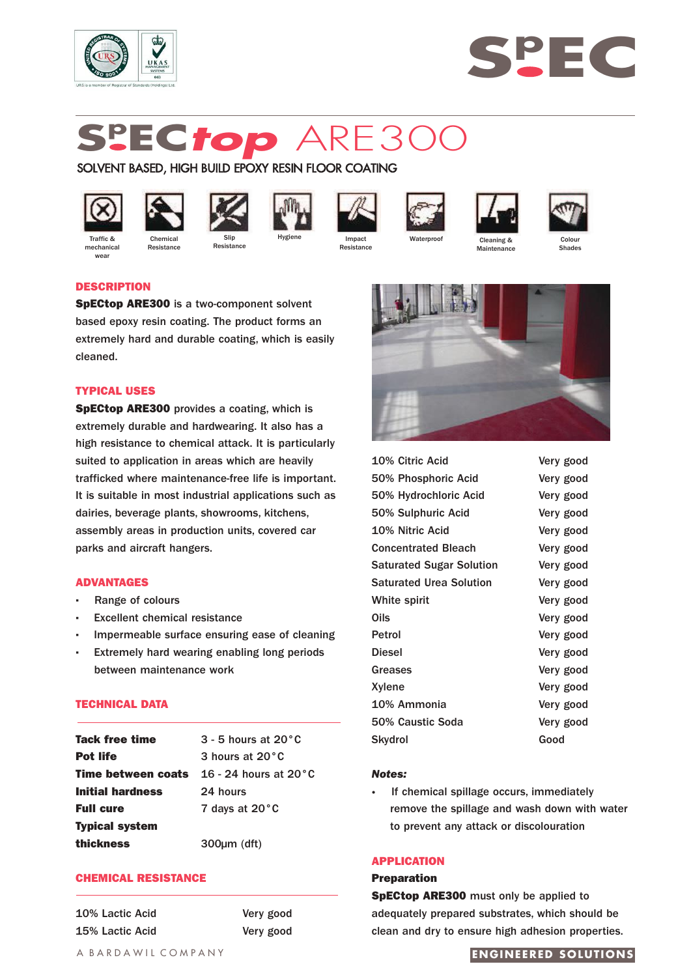



# **Sp EC***top* ARE300

# SOLVENT BASED, HIGH BUILD EPOXY RESIN FLOOR COATING





**Resistance** 













Traffic & mechanica **Wear** 

Slip **Resistance** 



Resistance

Cleaning & **Maintenance** 



# **DESCRIPTION**

**SpECtop ARE300** is a two-component solvent based epoxy resin coating. The product forms an extremely hard and durable coating, which is easily cleaned.

# **TYPICAL USES**

**SpECtop ARE300** provides a coating, which is extremely durable and hardwearing. It also has a high resistance to chemical attack. It is particularly suited to application in areas which are heavily trafficked where maintenance-free life is important. It is suitable in most industrial applications such as dairies, beverage plants, showrooms, kitchens, assembly areas in production units, covered car parks and aircraft hangers.

# **ADVANTAGES**

- **·** Range of colours
- **Excellent chemical resistance**
- **·** Impermeable surface ensuring ease of cleaning
- **Extremely hard wearing enabling long periods** between maintenance work

# **TECHNICAL DATA**

| Tack free time            | $3 - 5$ hours at $20^{\circ}$ C |
|---------------------------|---------------------------------|
| <b>Pot life</b>           | 3 hours at 20°C                 |
| <b>Time between coats</b> | 16 - 24 hours at $20^{\circ}$ C |
| <b>Initial hardness</b>   | 24 hours                        |
| <b>Full cure</b>          | 7 days at 20°C                  |
| <b>Typical system</b>     |                                 |
| thickness                 | $300 \mu m$ (dft)               |

# **CHEMICAL RESISTANCE**

10% Lactic Acid Very good 15% Lactic Acid Very good



| 10% Citric Acid                 | Very good |
|---------------------------------|-----------|
| 50% Phosphoric Acid             | Very good |
| 50% Hydrochloric Acid           | Very good |
| 50% Sulphuric Acid              | Very good |
| 10% Nitric Acid                 | Very good |
| <b>Concentrated Bleach</b>      | Very good |
| <b>Saturated Sugar Solution</b> | Very good |
| <b>Saturated Urea Solution</b>  | Very good |
| White spirit                    | Very good |
| Oils                            | Very good |
| Petrol                          | Very good |
| <b>Diesel</b>                   | Very good |
| <b>Greases</b>                  | Very good |
| Xylene                          | Very good |
| 10% Ammonia                     | Very good |
| 50% Caustic Soda                | Very good |
| <b>Skydrol</b>                  | Good      |

# *Notes:*

**·** If chemical spillage occurs, immediately remove the spillage and wash down with water to prevent any attack or discolouration

# **APPLICATION**

#### **Preparation**

**SpECtop ARE300** must only be applied to adequately prepared substrates, which should be clean and dry to ensure high adhesion properties.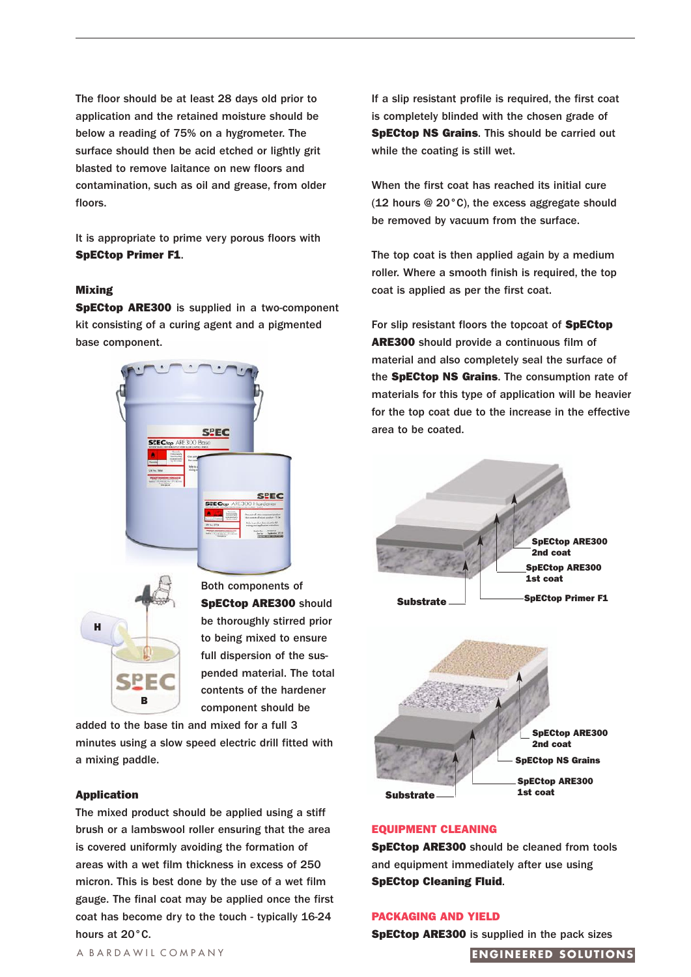The floor should be at least 28 days old prior to application and the retained moisture should be below a reading of 75% on a hygrometer. The surface should then be acid etched or lightly grit blasted to remove laitance on new floors and contamination, such as oil and grease, from older floors.

It is appropriate to prime very porous floors with **SpECtop Primer F1**.

#### **Mixing**

**SpECtop ARE300** is supplied in a two-component kit consisting of a curing agent and a pigmented base component.





Both components of **SpECtop ARE300** should be thoroughly stirred prior to being mixed to ensure full dispersion of the suspended material. The total contents of the hardener component should be

added to the base tin and mixed for a full 3 minutes using a slow speed electric drill fitted with a mixing paddle.

#### **Application**

The mixed product should be applied using a stiff brush or a lambswool roller ensuring that the area is covered uniformly avoiding the formation of areas with a wet film thickness in excess of 250 micron. This is best done by the use of a wet film gauge. The final coat may be applied once the first coat has become dry to the touch - typically 16-24 hours at 20°C.

If a slip resistant profile is required, the first coat is completely blinded with the chosen grade of **SpECtop NS Grains**. This should be carried out while the coating is still wet.

When the first coat has reached its initial cure (12 hours @ 20°C), the excess aggregate should be removed by vacuum from the surface.

The top coat is then applied again by a medium roller. Where a smooth finish is required, the top coat is applied as per the first coat.

For slip resistant floors the topcoat of **SpECtop ARE300** should provide a continuous film of material and also completely seal the surface of the **SpECtop NS Grains**. The consumption rate of materials for this type of application will be heavier for the top coat due to the increase in the effective area to be coated.





#### **EQUIPMENT CLEANING**

**SpECtop ARE300** should be cleaned from tools and equipment immediately after use using **SpECtop Cleaning Fluid**.

### **PACKAGING AND YIELD**

**SpECtop ARE300** is supplied in the pack sizes

#### A BARDAWIL COMPANY **ENGINEERED SOLUTIONS**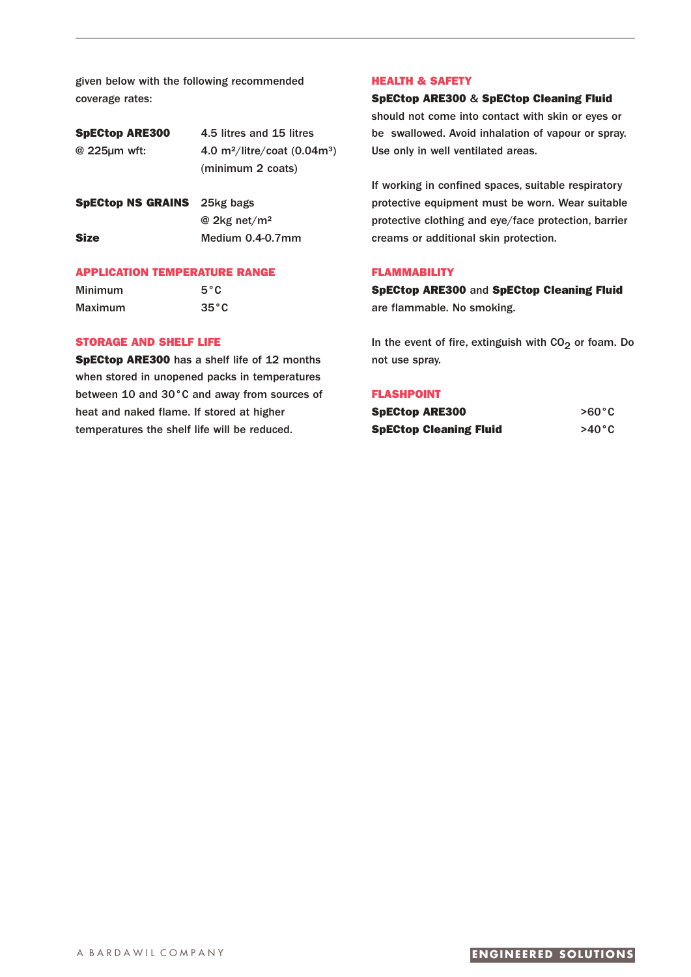given below with the following recommended coverage rates:

| <b>SpECtop ARE300</b>              | 4.5 litres and 15 litres                                        |
|------------------------------------|-----------------------------------------------------------------|
| @ 225µm wft:                       | 4.0 m <sup>2</sup> /litre/coat $(0.04m^3)$<br>(minimum 2 coats) |
| <b>SpECtop NS GRAINS</b> 25kg bags |                                                                 |

@ 2kg net/m² **Size** Medium 0.4-0.7mm

# **APPLICATION TEMPERATURE RANGE**

| Minimum | $5^{\circ}$ C  |
|---------|----------------|
| Maximum | $35^{\circ}$ C |

#### **STORAGE AND SHELF LIFE**

**SpECtop ARE300** has a shelf life of 12 months when stored in unopened packs in temperatures between 10 and 30°C and away from sources of heat and naked flame. If stored at higher temperatures the shelf life will be reduced.

# **HEALTH & SAFETY**

**SpECtop ARE300** & **SpECtop Cleaning Fluid** should not come into contact with skin or eyes or be swallowed. Avoid inhalation of vapour or spray. Use only in well ventilated areas.

If working in confined spaces, suitable respiratory protective equipment must be worn. Wear suitable protective clothing and eye/face protection, barrier creams or additional skin protection.

# **FLAMMABILITY**

**SpECtop ARE300** and **SpECtop Cleaning Fluid** are flammable. No smoking.

In the event of fire, extinguish with  $CO<sub>2</sub>$  or foam. Do not use spray.

#### **FLASHPOINT**

| <b>SpECtop ARE300</b> |                               | $>60^{\circ}$ C |
|-----------------------|-------------------------------|-----------------|
|                       | <b>SpECtop Cleaning Fluid</b> | $>40^{\circ}$ C |